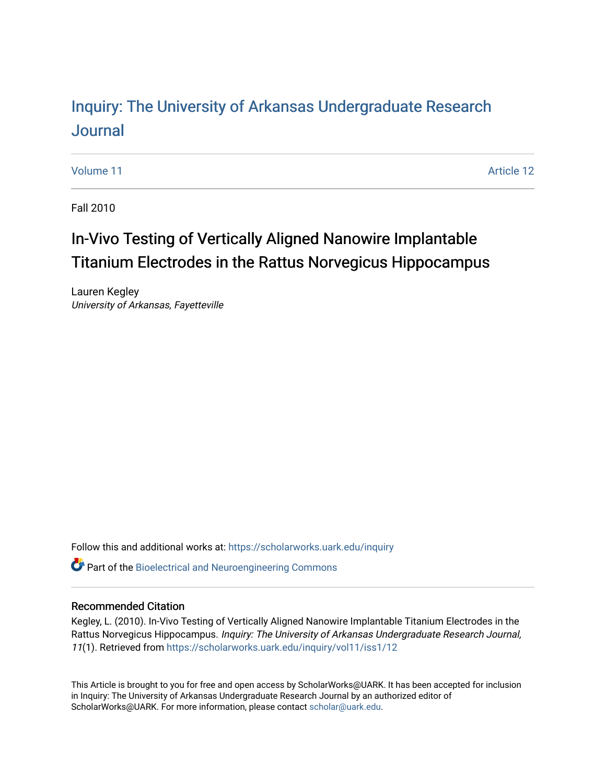# Inquiry: The Univ[ersity of Arkansas Undergraduate Resear](https://scholarworks.uark.edu/inquiry)ch [Journal](https://scholarworks.uark.edu/inquiry)

[Volume 11](https://scholarworks.uark.edu/inquiry/vol11) Article 12

Fall 2010

# In-Vivo Testing of Vertically Aligned Nanowire Implantable Titanium Electrodes in the Rattus Norvegicus Hippocampus

Lauren Kegley University of Arkansas, Fayetteville

Follow this and additional works at: [https://scholarworks.uark.edu/inquiry](https://scholarworks.uark.edu/inquiry?utm_source=scholarworks.uark.edu%2Finquiry%2Fvol11%2Fiss1%2F12&utm_medium=PDF&utm_campaign=PDFCoverPages)

**P** Part of the Bioelectrical and Neuroengineering Commons

## Recommended Citation

Kegley, L. (2010). In-Vivo Testing of Vertically Aligned Nanowire Implantable Titanium Electrodes in the Rattus Norvegicus Hippocampus. Inquiry: The University of Arkansas Undergraduate Research Journal, 11(1). Retrieved from [https://scholarworks.uark.edu/inquiry/vol11/iss1/12](https://scholarworks.uark.edu/inquiry/vol11/iss1/12?utm_source=scholarworks.uark.edu%2Finquiry%2Fvol11%2Fiss1%2F12&utm_medium=PDF&utm_campaign=PDFCoverPages) 

This Article is brought to you for free and open access by ScholarWorks@UARK. It has been accepted for inclusion in Inquiry: The University of Arkansas Undergraduate Research Journal by an authorized editor of ScholarWorks@UARK. For more information, please contact [scholar@uark.edu](mailto:scholar@uark.edu).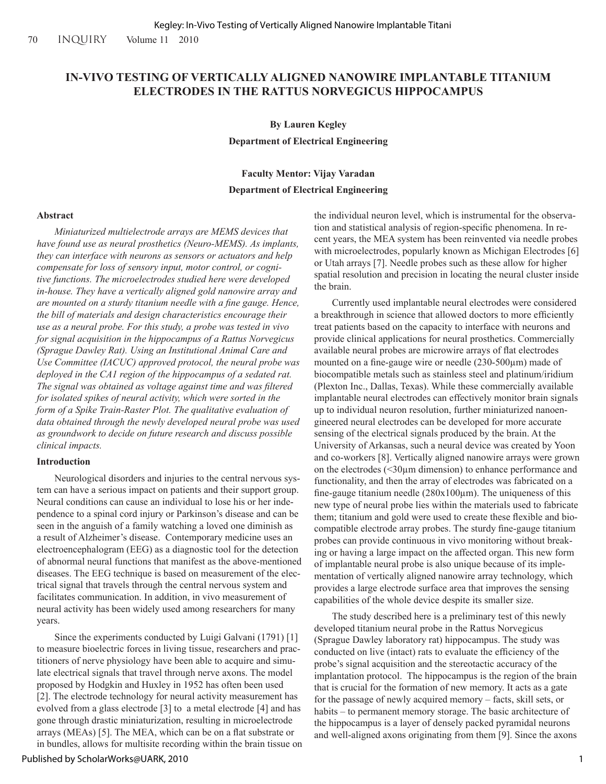## **IN-VIVO TESTING OF VERTICALLY ALIGNED NANOWIRE IMPLANTABLE TITANIUM ELECTRODES IN THE RATTUS NORVEGICUS HIPPOCAMPUS**

**By Lauren Kegley Department of Electrical Engineering**

## **Faculty Mentor: Vijay Varadan Department of Electrical Engineering**

#### **Abstract**

*Miniaturized multielectrode arrays are MEMS devices that have found use as neural prosthetics (Neuro-MEMS). As implants, they can interface with neurons as sensors or actuators and help compensate for loss of sensory input, motor control, or cognitive functions. The microelectrodes studied here were developed in-house. They have a vertically aligned gold nanowire array and are mounted on a sturdy titanium needle with a fine gauge. Hence, the bill of materials and design characteristics encourage their use as a neural probe. For this study, a probe was tested in vivo for signal acquisition in the hippocampus of a Rattus Norvegicus (Sprague Dawley Rat). Using an Institutional Animal Care and Use Committee (IACUC) approved protocol, the neural probe was deployed in the CA1 region of the hippocampus of a sedated rat. The signal was obtained as voltage against time and was filtered for isolated spikes of neural activity, which were sorted in the form of a Spike Train-Raster Plot. The qualitative evaluation of data obtained through the newly developed neural probe was used as groundwork to decide on future research and discuss possible clinical impacts.*

#### **Introduction**

Neurological disorders and injuries to the central nervous system can have a serious impact on patients and their support group. Neural conditions can cause an individual to lose his or her independence to a spinal cord injury or Parkinson's disease and can be seen in the anguish of a family watching a loved one diminish as a result of Alzheimer's disease. Contemporary medicine uses an electroencephalogram (EEG) as a diagnostic tool for the detection of abnormal neural functions that manifest as the above-mentioned diseases. The EEG technique is based on measurement of the electrical signal that travels through the central nervous system and facilitates communication. In addition, in vivo measurement of neural activity has been widely used among researchers for many years.

Since the experiments conducted by Luigi Galvani (1791) [1] to measure bioelectric forces in living tissue, researchers and practitioners of nerve physiology have been able to acquire and simulate electrical signals that travel through nerve axons. The model proposed by Hodgkin and Huxley in 1952 has often been used [2]. The electrode technology for neural activity measurement has evolved from a glass electrode [3] to a metal electrode [4] and has gone through drastic miniaturization, resulting in microelectrode arrays (MEAs) [5]. The MEA, which can be on a flat substrate or in bundles, allows for multisite recording within the brain tissue on the individual neuron level, which is instrumental for the observation and statistical analysis of region-specific phenomena. In recent years, the MEA system has been reinvented via needle probes with microelectrodes, popularly known as Michigan Electrodes [6] or Utah arrays [7]. Needle probes such as these allow for higher spatial resolution and precision in locating the neural cluster inside the brain.

Currently used implantable neural electrodes were considered a breakthrough in science that allowed doctors to more efficiently treat patients based on the capacity to interface with neurons and provide clinical applications for neural prosthetics. Commercially available neural probes are microwire arrays of flat electrodes mounted on a fine-gauge wire or needle (230-500µm) made of biocompatible metals such as stainless steel and platinum/iridium (Plexton Inc., Dallas, Texas). While these commercially available implantable neural electrodes can effectively monitor brain signals up to individual neuron resolution, further miniaturized nanoengineered neural electrodes can be developed for more accurate sensing of the electrical signals produced by the brain. At the University of Arkansas, such a neural device was created by Yoon and co-workers [8]. Vertically aligned nanowire arrays were grown on the electrodes (<30µm dimension) to enhance performance and functionality, and then the array of electrodes was fabricated on a fine-gauge titanium needle  $(280x100\mu m)$ . The uniqueness of this new type of neural probe lies within the materials used to fabricate them; titanium and gold were used to create these flexible and biocompatible electrode array probes. The sturdy fine-gauge titanium probes can provide continuous in vivo monitoring without breaking or having a large impact on the affected organ. This new form of implantable neural probe is also unique because of its implementation of vertically aligned nanowire array technology, which provides a large electrode surface area that improves the sensing capabilities of the whole device despite its smaller size.

The study described here is a preliminary test of this newly developed titanium neural probe in the Rattus Norvegicus (Sprague Dawley laboratory rat) hippocampus. The study was conducted on live (intact) rats to evaluate the efficiency of the probe's signal acquisition and the stereotactic accuracy of the implantation protocol. The hippocampus is the region of the brain that is crucial for the formation of new memory. It acts as a gate for the passage of newly acquired memory – facts, skill sets, or habits – to permanent memory storage. The basic architecture of the hippocampus is a layer of densely packed pyramidal neurons and well-aligned axons originating from them [9]. Since the axons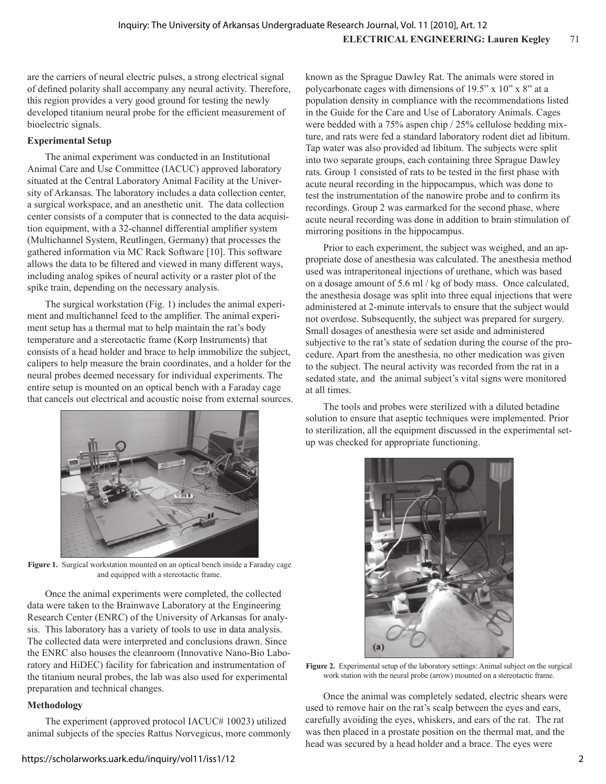are the carriers of neural electric pulses, a strong electrical signal of defined polarity shall accompany any neural activity. Therefore, this region provides a very good ground for testing the newly developed titanium neural probe for the efficient measurement of bioelectric signals.

## **Experimental Setup**

The animal experiment was conducted in an Institutional Animal Care and Use Committee (IACUC) approved laboratory situated at the Central Laboratory Animal Facility at the University of Arkansas. The laboratory includes a data collection center, a surgical workspace, and an anesthetic unit. The data collection center consists of a computer that is connected to the data acquisition equipment, with a 32-channel differential amplifier system (Multichannel System, Reutlingen, Germany) that processes the gathered information via MC Rack Software [10]. This software allows the data to be filtered and viewed in many different ways, including analog spikes of neural activity or a raster plot of the spike train, depending on the necessary analysis.

The surgical workstation (Fig. 1) includes the animal experiment and multichannel feed to the amplifier. The animal experiment setup has a thermal mat to help maintain the rat's body temperature and a stereotactic frame (Korp Instruments) that consists of a head holder and brace to help immobilize the subject, calipers to help measure the brain coordinates, and a holder for the neural probes deemed necessary for individual experiments. The entire setup is mounted on an optical bench with a Faraday cage that cancels out electrical and acoustic noise from external sources.



**Figure 1.** Surgical workstation mounted on an optical bench inside a Faraday cage and equipped with a stereotactic frame.

Once the animal experiments were completed, the collected data were taken to the Brainwave Laboratory at the Engineering Research Center (ENRC) of the University of Arkansas for analysis. This laboratory has a variety of tools to use in data analysis. The collected data were interpreted and conclusions drawn. Since the ENRC also houses the cleanroom (Innovative Nano-Bio Laboratory and HiDEC) facility for fabrication and instrumentation of the titanium neural probes, the lab was also used for experimental preparation and technical changes.

## **Methodology**

The experiment (approved protocol IACUC# 10023) utilized animal subjects of the species Rattus Norvegicus, more commonly known as the Sprague Dawley Rat. The animals were stored in polycarbonate cages with dimensions of 19.5" x 10" x 8" at a population density in compliance with the recommendations listed in the Guide for the Care and Use of Laboratory Animals. Cages were bedded with a 75% aspen chip / 25% cellulose bedding mixture, and rats were fed a standard laboratory rodent diet ad libitum. Tap water was also provided ad libitum. The subjects were split into two separate groups, each containing three Sprague Dawley rats. Group 1 consisted of rats to be tested in the first phase with acute neural recording in the hippocampus, which was done to test the instrumentation of the nanowire probe and to confirm its recordings. Group 2 was earmarked for the second phase, where acute neural recording was done in addition to brain stimulation of mirroring positions in the hippocampus.

Prior to each experiment, the subject was weighed, and an appropriate dose of anesthesia was calculated. The anesthesia method used was intraperitoneal injections of urethane, which was based on a dosage amount of 5.6 ml / kg of body mass. Once calculated, the anesthesia dosage was split into three equal injections that were administered at 2-minute intervals to ensure that the subject would not overdose. Subsequently, the subject was prepared for surgery. Small dosages of anesthesia were set aside and administered subjective to the rat's state of sedation during the course of the procedure. Apart from the anesthesia, no other medication was given to the subject. The neural activity was recorded from the rat in a sedated state, and the animal subject's vital signs were monitored at all times.

The tools and probes were sterilized with a diluted betadine solution to ensure that aseptic techniques were implemented. Prior to sterilization, all the equipment discussed in the experimental setup was checked for appropriate functioning.



**Figure 2.** Experimental setup of the laboratory settings: Animal subject on the surgical work station with the neural probe (arrow) mounted on a stereotactic frame.

Once the animal was completely sedated, electric shears were used to remove hair on the rat's scalp between the eyes and ears, carefully avoiding the eyes, whiskers, and ears of the rat. The rat was then placed in a prostate position on the thermal mat, and the head was secured by a head holder and a brace. The eyes were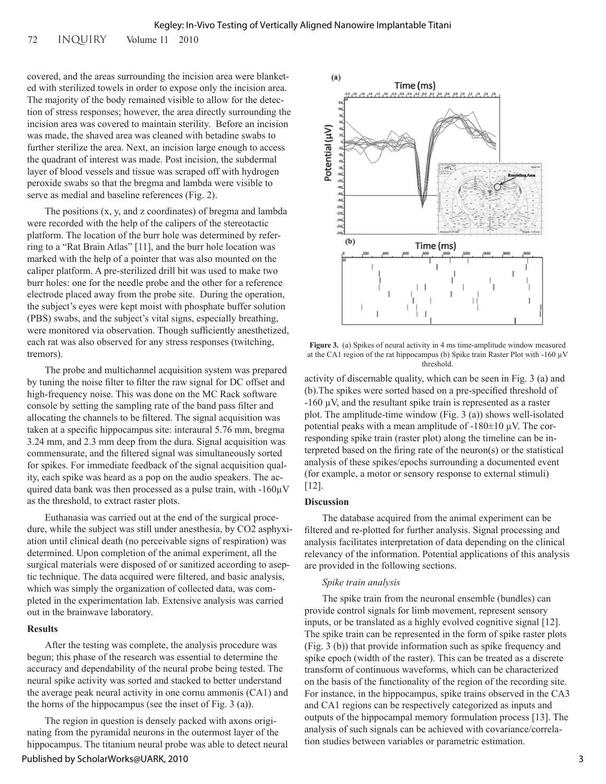72 INQUIRY Volume 11 2010

covered, and the areas surrounding the incision area were blanketed with sterilized towels in order to expose only the incision area. The majority of the body remained visible to allow for the detection of stress responses; however, the area directly surrounding the incision area was covered to maintain sterility. Before an incision was made, the shaved area was cleaned with betadine swabs to further sterilize the area. Next, an incision large enough to access the quadrant of interest was made. Post incision, the subdermal layer of blood vessels and tissue was scraped off with hydrogen peroxide swabs so that the bregma and lambda were visible to serve as medial and baseline references (Fig. 2).

The positions (x, y, and z coordinates) of bregma and lambda were recorded with the help of the calipers of the stereotactic platform. The location of the burr hole was determined by referring to a "Rat Brain Atlas" [11], and the burr hole location was marked with the help of a pointer that was also mounted on the caliper platform. A pre-sterilized drill bit was used to make two burr holes: one for the needle probe and the other for a reference electrode placed away from the probe site. During the operation, the subject's eyes were kept moist with phosphate buffer solution (PBS) swabs, and the subject's vital signs, especially breathing, were monitored via observation. Though sufficiently anesthetized, each rat was also observed for any stress responses (twitching, tremors).

The probe and multichannel acquisition system was prepared by tuning the noise filter to filter the raw signal for DC offset and high-frequency noise. This was done on the MC Rack software console by setting the sampling rate of the band pass filter and allocating the channels to be filtered. The signal acquisition was taken at a specific hippocampus site: interaural 5.76 mm, bregma 3.24 mm, and 2.3 mm deep from the dura. Signal acquisition was commensurate, and the filtered signal was simultaneously sorted for spikes. For immediate feedback of the signal acquisition quality, each spike was heard as a pop on the audio speakers. The acquired data bank was then processed as a pulse train, with  $-160\mu$ V as the threshold, to extract raster plots.

Euthanasia was carried out at the end of the surgical procedure, while the subject was still under anesthesia, by CO2 asphyxiation until clinical death (no perceivable signs of respiration) was determined. Upon completion of the animal experiment, all the surgical materials were disposed of or sanitized according to aseptic technique. The data acquired were filtered, and basic analysis, which was simply the organization of collected data, was completed in the experimentation lab. Extensive analysis was carried out in the brainwave laboratory.

#### **Results**

After the testing was complete, the analysis procedure was begun; this phase of the research was essential to determine the accuracy and dependability of the neural probe being tested. The neural spike activity was sorted and stacked to better understand the average peak neural activity in one cornu ammonis (CA1) and the horns of the hippocampus (see the inset of Fig. 3 (a)).

The region in question is densely packed with axons originating from the pyramidal neurons in the outermost layer of the hippocampus. The titanium neural probe was able to detect neural





**Figure 3.** (a) Spikes of neural activity in 4 ms time-amplitude window measured at the CA1 region of the rat hippocampus (b) Spike train Raster Plot with -160  $\mu$ V threshold.

activity of discernable quality, which can be seen in Fig. 3 (a) and (b).The spikes were sorted based on a pre-specified threshold of  $-160 \mu V$ , and the resultant spike train is represented as a raster plot. The amplitude-time window (Fig. 3 (a)) shows well-isolated potential peaks with a mean amplitude of  $-180\pm10$  µV. The corresponding spike train (raster plot) along the timeline can be interpreted based on the firing rate of the neuron(s) or the statistical analysis of these spikes/epochs surrounding a documented event (for example, a motor or sensory response to external stimuli) [12].

#### **Discussion**

The database acquired from the animal experiment can be filtered and re-plotted for further analysis. Signal processing and analysis facilitates interpretation of data depending on the clinical relevancy of the information. Potential applications of this analysis are provided in the following sections.

#### *Spike train analysis*

The spike train from the neuronal ensemble (bundles) can provide control signals for limb movement, represent sensory inputs, or be translated as a highly evolved cognitive signal [12]. The spike train can be represented in the form of spike raster plots (Fig. 3 (b)) that provide information such as spike frequency and spike epoch (width of the raster). This can be treated as a discrete transform of continuous waveforms, which can be characterized on the basis of the functionality of the region of the recording site. For instance, in the hippocampus, spike trains observed in the CA3 and CA1 regions can be respectively categorized as inputs and outputs of the hippocampal memory formulation process [13]. The analysis of such signals can be achieved with covariance/correlation studies between variables or parametric estimation.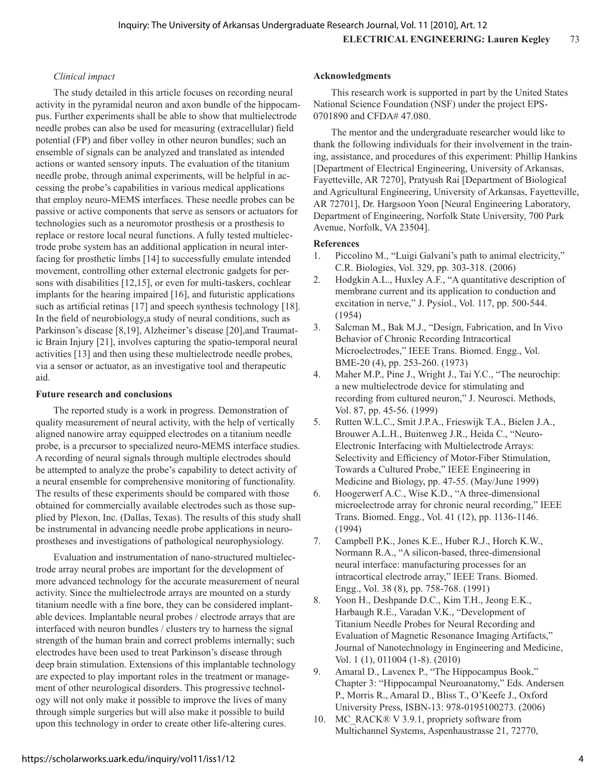## *Clinical impact*

The study detailed in this article focuses on recording neural activity in the pyramidal neuron and axon bundle of the hippocampus. Further experiments shall be able to show that multielectrode needle probes can also be used for measuring (extracellular) field potential (FP) and fiber volley in other neuron bundles; such an ensemble of signals can be analyzed and translated as intended actions or wanted sensory inputs. The evaluation of the titanium needle probe, through animal experiments, will be helpful in accessing the probe's capabilities in various medical applications that employ neuro-MEMS interfaces. These needle probes can be passive or active components that serve as sensors or actuators for technologies such as a neuromotor prosthesis or a prosthesis to replace or restore local neural functions. A fully tested multielectrode probe system has an additional application in neural interfacing for prosthetic limbs [14] to successfully emulate intended movement, controlling other external electronic gadgets for persons with disabilities [12,15], or even for multi-taskers, cochlear implants for the hearing impaired [16], and futuristic applications such as artificial retinas [17] and speech synthesis technology [18]. In the field of neurobiology,a study of neural conditions, such as Parkinson's disease [8,19], Alzheimer's disease [20], and Traumatic Brain Injury [21], involves capturing the spatio-temporal neural activities [13] and then using these multielectrode needle probes, via a sensor or actuator, as an investigative tool and therapeutic aid.

#### **Future research and conclusions**

The reported study is a work in progress. Demonstration of quality measurement of neural activity, with the help of vertically aligned nanowire array equipped electrodes on a titanium needle probe, is a precursor to specialized neuro-MEMS interface studies. A recording of neural signals through multiple electrodes should be attempted to analyze the probe's capability to detect activity of a neural ensemble for comprehensive monitoring of functionality. The results of these experiments should be compared with those obtained for commercially available electrodes such as those supplied by Plexon, Inc. (Dallas, Texas). The results of this study shall be instrumental in advancing needle probe applications in neuroprostheses and investigations of pathological neurophysiology.

Evaluation and instrumentation of nano-structured multielectrode array neural probes are important for the development of more advanced technology for the accurate measurement of neural activity. Since the multielectrode arrays are mounted on a sturdy titanium needle with a fine bore, they can be considered implantable devices. Implantable neural probes / electrode arrays that are interfaced with neuron bundles / clusters try to harness the signal strength of the human brain and correct problems internally; such electrodes have been used to treat Parkinson's disease through deep brain stimulation. Extensions of this implantable technology are expected to play important roles in the treatment or management of other neurological disorders. This progressive technology will not only make it possible to improve the lives of many through simple surgeries but will also make it possible to build upon this technology in order to create other life-altering cures.

### **Acknowledgments**

This research work is supported in part by the United States National Science Foundation (NSF) under the project EPS-0701890 and CFDA# 47.080.

The mentor and the undergraduate researcher would like to thank the following individuals for their involvement in the training, assistance, and procedures of this experiment: Phillip Hankins [Department of Electrical Engineering, University of Arkansas, Fayetteville, AR 7270], Pratyush Rai [Department of Biological and Agricultural Engineering, University of Arkansas, Fayetteville, AR 72701], Dr. Hargsoon Yoon [Neural Engineering Laboratory, Department of Engineering, Norfolk State University, 700 Park Avenue, Norfolk, VA 23504].

### **References**

- 1. Piccolino M., "Luigi Galvani's path to animal electricity," C.R. Biologies, Vol. 329, pp. 303-318. (2006)
- 2. Hodgkin A.L., Huxley A.F., "A quantitative description of membrane current and its application to conduction and excitation in nerve," J. Pysiol., Vol. 117, pp. 500-544. (1954)
- 3. Salcman M., Bak M.J., "Design, Fabrication, and In Vivo Behavior of Chronic Recording Intracortical Microelectrodes," IEEE Trans. Biomed. Engg., Vol. BME-20 (4), pp. 253-260. (1973)
- 4. Maher M.P., Pine J., Wright J., Tai Y.C., "The neurochip: a new multielectrode device for stimulating and recording from cultured neuron," J. Neurosci. Methods, Vol. 87, pp. 45-56. (1999)
- 5. Rutten W.L.C., Smit J.P.A., Frieswijk T.A., Bielen J.A., Brouwer A.L.H., Buitenweg J.R., Heida C., "Neuro-Electronic Interfacing with Multielectrode Arrays: Selectivity and Efficiency of Motor-Fiber Stimulation, Towards a Cultured Probe," IEEE Engineering in Medicine and Biology, pp. 47-55. (May/June 1999)
- 6. Hoogerwerf A.C., Wise K.D., "A three-dimensional microelectrode array for chronic neural recording," IEEE Trans. Biomed. Engg., Vol. 41 (12), pp. 1136-1146. (1994)
- 7. Campbell P.K., Jones K.E., Huber R.J., Horch K.W., Normann R.A., "A silicon-based, three-dimensional neural interface: manufacturing processes for an intracortical electrode array," IEEE Trans. Biomed. Engg., Vol. 38 (8), pp. 758-768. (1991)
- 8. Yoon H., Deshpande D.C., Kim T.H., Jeong E.K., Harbaugh R.E., Varadan V.K., "Development of Titanium Needle Probes for Neural Recording and Evaluation of Magnetic Resonance Imaging Artifacts," Journal of Nanotechnology in Engineering and Medicine, Vol. 1 (1), 011004 (1-8). (2010)
- 9. Amaral D., Lavenex P., "The Hippocampus Book," Chapter 3: "Hippocampal Neuroanatomy," Eds. Andersen P., Morris R., Amaral D., Bliss T., O'Keefe J., Oxford University Press, ISBN-13: 978-0195100273. (2006)
- 10. MC\_RACK® V 3.9.1, propriety software from Multichannel Systems, Aspenhaustrasse 21, 72770,